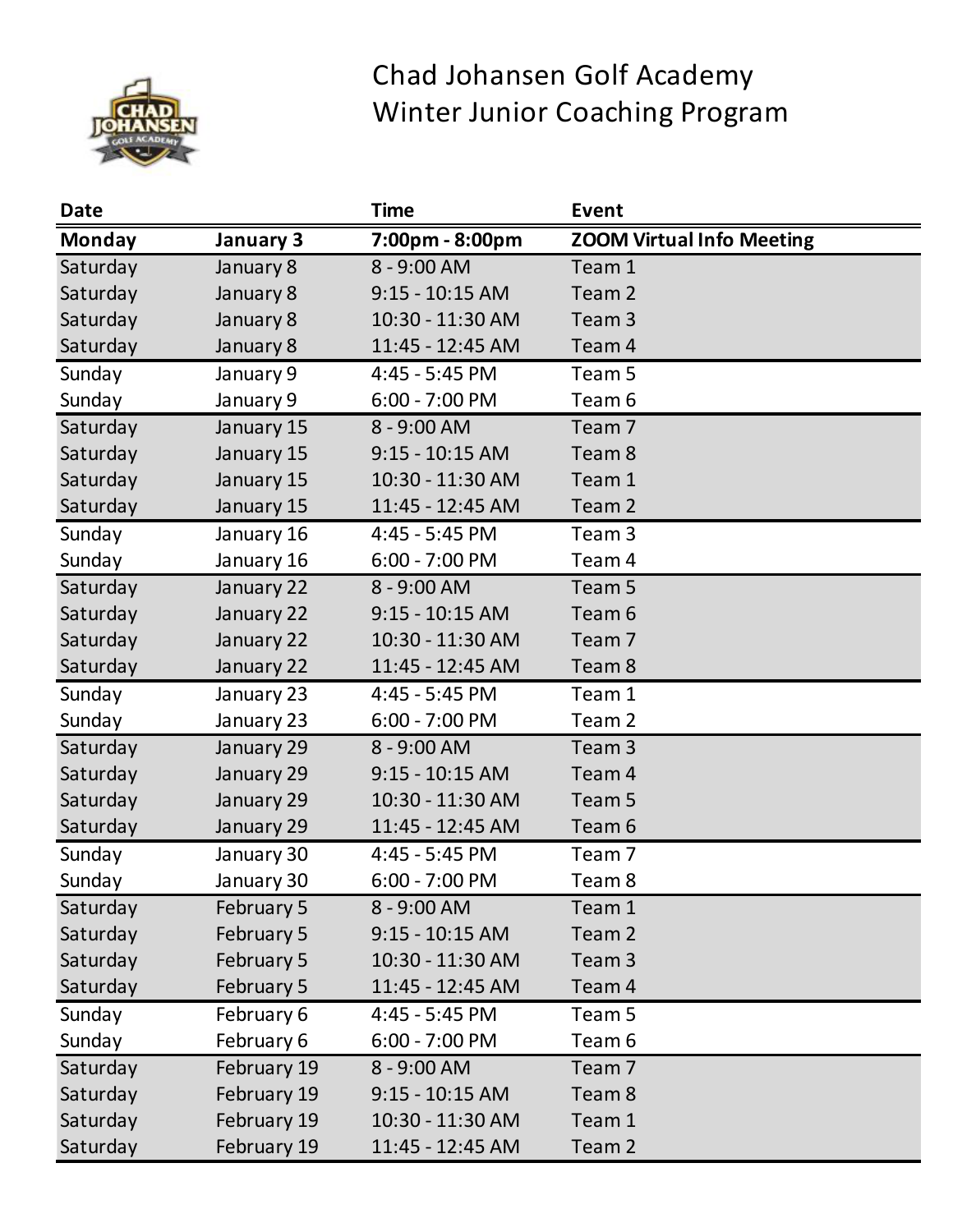

## Chad Johansen Golf Academy Winter Junior Coaching Program

| <b>Date</b>   |             | <b>Time</b>       | <b>Event</b>                     |
|---------------|-------------|-------------------|----------------------------------|
| <b>Monday</b> | January 3   | 7:00pm - 8:00pm   | <b>ZOOM Virtual Info Meeting</b> |
| Saturday      | January 8   | 8 - 9:00 AM       | Team 1                           |
| Saturday      | January 8   | $9:15 - 10:15$ AM | Team <sub>2</sub>                |
| Saturday      | January 8   | 10:30 - 11:30 AM  | Team 3                           |
| Saturday      | January 8   | 11:45 - 12:45 AM  | Team 4                           |
| Sunday        | January 9   | 4:45 - 5:45 PM    | Team 5                           |
| Sunday        | January 9   | $6:00 - 7:00$ PM  | Team 6                           |
| Saturday      | January 15  | 8 - 9:00 AM       | Team <sub>7</sub>                |
| Saturday      | January 15  | $9:15 - 10:15$ AM | Team <sub>8</sub>                |
| Saturday      | January 15  | 10:30 - 11:30 AM  | Team 1                           |
| Saturday      | January 15  | 11:45 - 12:45 AM  | Team 2                           |
| Sunday        | January 16  | 4:45 - 5:45 PM    | Team <sub>3</sub>                |
| Sunday        | January 16  | 6:00 - 7:00 PM    | Team 4                           |
| Saturday      | January 22  | 8 - 9:00 AM       | Team <sub>5</sub>                |
| Saturday      | January 22  | $9:15 - 10:15$ AM | Team <sub>6</sub>                |
| Saturday      | January 22  | 10:30 - 11:30 AM  | Team <sub>7</sub>                |
| Saturday      | January 22  | 11:45 - 12:45 AM  | Team <sub>8</sub>                |
| Sunday        | January 23  | 4:45 - 5:45 PM    | Team 1                           |
| Sunday        | January 23  | 6:00 - 7:00 PM    | Team <sub>2</sub>                |
| Saturday      | January 29  | 8 - 9:00 AM       | Team <sub>3</sub>                |
| Saturday      | January 29  | $9:15 - 10:15$ AM | Team 4                           |
| Saturday      | January 29  | 10:30 - 11:30 AM  | Team 5                           |
| Saturday      | January 29  | 11:45 - 12:45 AM  | Team 6                           |
| Sunday        | January 30  | 4:45 - 5:45 PM    | Team <sub>7</sub>                |
| Sunday        | January 30  | $6:00 - 7:00$ PM  | Team 8                           |
| Saturday      | February 5  | 8 - 9:00 AM       | Team 1                           |
| Saturday      | February 5  | $9:15 - 10:15$ AM | Team <sub>2</sub>                |
| Saturday      | February 5  | 10:30 - 11:30 AM  | Team <sub>3</sub>                |
| Saturday      | February 5  | 11:45 - 12:45 AM  | Team 4                           |
| Sunday        | February 6  | 4:45 - 5:45 PM    | Team 5                           |
| Sunday        | February 6  | $6:00 - 7:00$ PM  | Team 6                           |
| Saturday      | February 19 | 8 - 9:00 AM       | Team <sub>7</sub>                |
| Saturday      | February 19 | $9:15 - 10:15$ AM | Team <sub>8</sub>                |
| Saturday      | February 19 | 10:30 - 11:30 AM  | Team 1                           |
| Saturday      | February 19 | 11:45 - 12:45 AM  | Team 2                           |